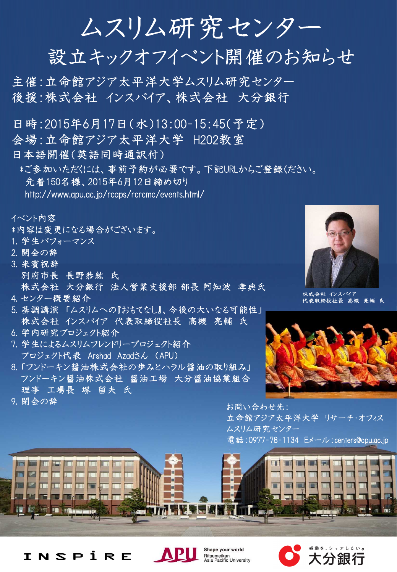ムスリム研究センター

設立キックオフイベント開催のお知らせ

主催:立命館アジア太平洋大学ムスリム研究センター 後援:株式会社 インスパイア、株式会社 大分銀行

日時:2015年6月17日(水)13:00-15:45(予定)

- 会場:立命館アジア太平洋大学 H202教室
- 日本語開催(英語同時通訳付)

\*ご参加いただくには、事前予約が必要です。下記URLからご登録ください。

先着150名様、2015年6月12日締め切り

http://www.apu.ac.jp/rcaps/rcrcmc/events.html/

イベント内容

\*内容は変更になる場合がございます。

- 1. 学生パフォーマンス
- 2. 開会の辞
- 3. 来賓祝辞 別府市長 長野恭紘 氏 株式会社 大分銀行 法人営業支援部 部長 阿知波 孝典氏
- 4. センター概要紹介
- 5. 基調講演「ムスリムへの『おもてなし』、今後の大いなる可能性」 株式会社 インスパイア 代表取締役社長 高槻 亮輔 氏
- 6. 学内研究プロジェクト紹介
- 7. 学生によるムスリムフレンドリープロジェクト紹介 プロジェクト代表 Arshad Azadさん (APU)
- 8. 「フンドーキン醤油株式会社の歩みとハラル醤油の取り組み」 フンドーキン醤油株式会社 醤油工場 大分醤油協業組合 理事 工場長 堺 留夫 氏



株式会社 インスパイア 代表取締役社長 高槻 亮輔 氏



9. 閉会の辞 インディング - インディング - インディング - お問い合わせ先:

立命館アジア太平洋大学 リサーチ・オフィス ムスリム研究センター 電話:0977-78-1134 Eメール:centers@apu.ac.jp







Shape your world **Ritsumeikan<br>Asia Pacific University**